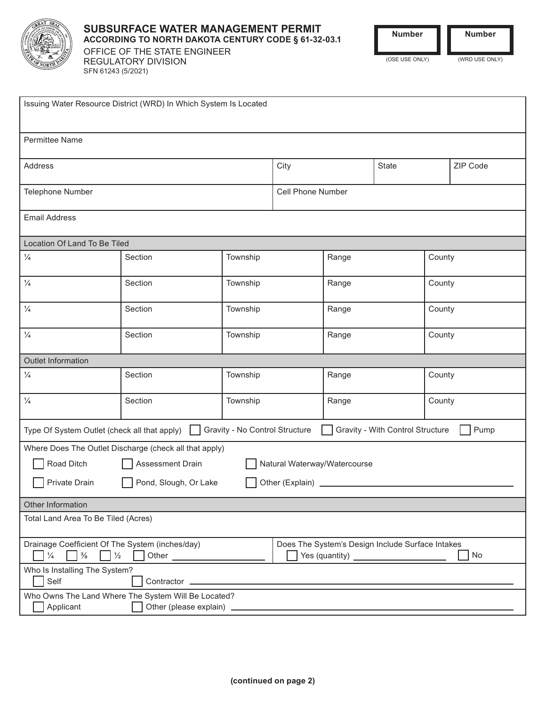

SFN 61243 (5/2021)

# **SUBSURFACE WATER MANAGEMENT PERMIT ACCORDING TO NORTH DAKOTA CENTURY CODE § 61-32-03.1** OFFICE OF THE STATE ENGINEER REGULATORY DIVISION

**Number Number**

(OSE USE ONLY) (WRD USE ONLY)

| Issuing Water Resource District (WRD) In Which System Is Located                                                                                             |                                            |          |                   |       |       |        |          |  |
|--------------------------------------------------------------------------------------------------------------------------------------------------------------|--------------------------------------------|----------|-------------------|-------|-------|--------|----------|--|
| <b>Permittee Name</b>                                                                                                                                        |                                            |          |                   |       |       |        |          |  |
| Address                                                                                                                                                      |                                            |          | City              |       | State |        | ZIP Code |  |
| Telephone Number                                                                                                                                             |                                            |          | Cell Phone Number |       |       |        |          |  |
| <b>Email Address</b>                                                                                                                                         |                                            |          |                   |       |       |        |          |  |
| Location Of Land To Be Tiled                                                                                                                                 |                                            |          |                   |       |       |        |          |  |
| $\frac{1}{4}$                                                                                                                                                | Section                                    | Township |                   | Range |       | County |          |  |
| $\frac{1}{4}$                                                                                                                                                | Section                                    | Township |                   | Range |       | County |          |  |
| $\frac{1}{4}$                                                                                                                                                | Section                                    | Township |                   | Range |       | County |          |  |
| $\frac{1}{4}$                                                                                                                                                | Section                                    | Township |                   | Range |       | County |          |  |
| Outlet Information                                                                                                                                           |                                            |          |                   |       |       |        |          |  |
| $\frac{1}{4}$                                                                                                                                                | Section                                    | Township |                   | Range |       | County |          |  |
| $\frac{1}{4}$                                                                                                                                                | Section                                    | Township |                   | Range |       | County |          |  |
| Gravity - No Control Structure<br>Gravity - With Control Structure<br>Type Of System Outlet (check all that apply)  <br>Pump                                 |                                            |          |                   |       |       |        |          |  |
| Where Does The Outlet Discharge (check all that apply)                                                                                                       |                                            |          |                   |       |       |        |          |  |
| Road Ditch<br>Assessment Drain<br>Natural Waterway/Watercourse                                                                                               |                                            |          |                   |       |       |        |          |  |
| Private Drain                                                                                                                                                | Pond, Slough, Or Lake<br>Other (Explain) _ |          |                   |       |       |        |          |  |
| Other Information                                                                                                                                            |                                            |          |                   |       |       |        |          |  |
| Total Land Area To Be Tiled (Acres)                                                                                                                          |                                            |          |                   |       |       |        |          |  |
| Drainage Coefficient Of The System (inches/day)<br>Does The System's Design Include Surface Intakes<br>No<br>$\frac{3}{8}$<br>$\frac{1}{2}$<br>$\frac{1}{4}$ |                                            |          |                   |       |       |        |          |  |
| Who Is Installing The System?<br>Self<br>Contractor _                                                                                                        |                                            |          |                   |       |       |        |          |  |
| Who Owns The Land Where The System Will Be Located?<br>Applicant<br>Other (please explain)                                                                   |                                            |          |                   |       |       |        |          |  |